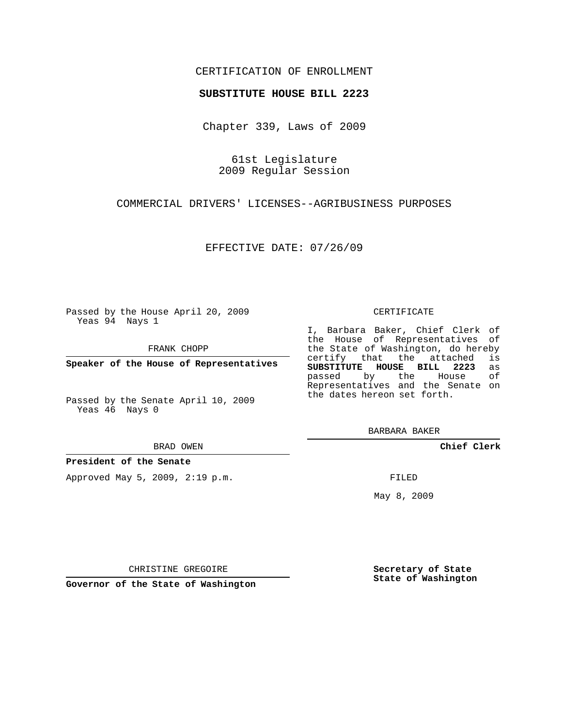## CERTIFICATION OF ENROLLMENT

### **SUBSTITUTE HOUSE BILL 2223**

Chapter 339, Laws of 2009

61st Legislature 2009 Regular Session

COMMERCIAL DRIVERS' LICENSES--AGRIBUSINESS PURPOSES

EFFECTIVE DATE: 07/26/09

Passed by the House April 20, 2009 Yeas 94 Nays 1

FRANK CHOPP

**Speaker of the House of Representatives**

Passed by the Senate April 10, 2009 Yeas 46 Nays 0

#### BRAD OWEN

### **President of the Senate**

Approved May 5, 2009, 2:19 p.m.

#### CERTIFICATE

I, Barbara Baker, Chief Clerk of the House of Representatives of the State of Washington, do hereby<br>certify that the attached is certify that the attached **SUBSTITUTE HOUSE BILL 2223** as passed by the Representatives and the Senate on the dates hereon set forth.

BARBARA BAKER

**Chief Clerk**

FILED

May 8, 2009

**Secretary of State State of Washington**

CHRISTINE GREGOIRE

**Governor of the State of Washington**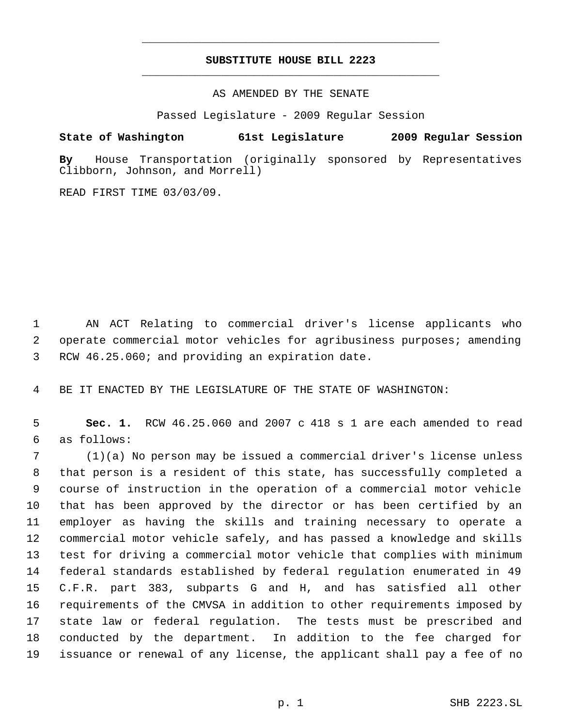# **SUBSTITUTE HOUSE BILL 2223** \_\_\_\_\_\_\_\_\_\_\_\_\_\_\_\_\_\_\_\_\_\_\_\_\_\_\_\_\_\_\_\_\_\_\_\_\_\_\_\_\_\_\_\_\_

\_\_\_\_\_\_\_\_\_\_\_\_\_\_\_\_\_\_\_\_\_\_\_\_\_\_\_\_\_\_\_\_\_\_\_\_\_\_\_\_\_\_\_\_\_

AS AMENDED BY THE SENATE

Passed Legislature - 2009 Regular Session

# **State of Washington 61st Legislature 2009 Regular Session**

**By** House Transportation (originally sponsored by Representatives Clibborn, Johnson, and Morrell)

READ FIRST TIME 03/03/09.

 AN ACT Relating to commercial driver's license applicants who operate commercial motor vehicles for agribusiness purposes; amending RCW 46.25.060; and providing an expiration date.

BE IT ENACTED BY THE LEGISLATURE OF THE STATE OF WASHINGTON:

 **Sec. 1.** RCW 46.25.060 and 2007 c 418 s 1 are each amended to read as follows:

 (1)(a) No person may be issued a commercial driver's license unless that person is a resident of this state, has successfully completed a course of instruction in the operation of a commercial motor vehicle that has been approved by the director or has been certified by an employer as having the skills and training necessary to operate a commercial motor vehicle safely, and has passed a knowledge and skills test for driving a commercial motor vehicle that complies with minimum federal standards established by federal regulation enumerated in 49 C.F.R. part 383, subparts G and H, and has satisfied all other requirements of the CMVSA in addition to other requirements imposed by state law or federal regulation. The tests must be prescribed and conducted by the department. In addition to the fee charged for issuance or renewal of any license, the applicant shall pay a fee of no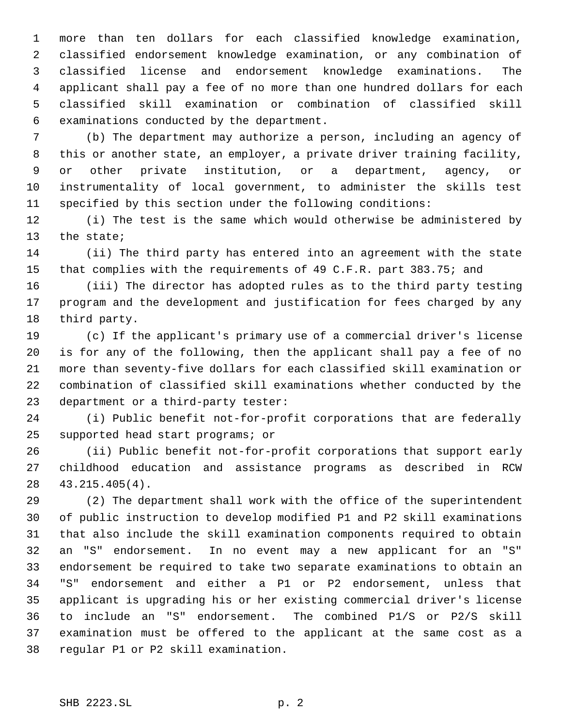more than ten dollars for each classified knowledge examination, classified endorsement knowledge examination, or any combination of classified license and endorsement knowledge examinations. The applicant shall pay a fee of no more than one hundred dollars for each classified skill examination or combination of classified skill examinations conducted by the department.

 (b) The department may authorize a person, including an agency of this or another state, an employer, a private driver training facility, or other private institution, or a department, agency, or instrumentality of local government, to administer the skills test specified by this section under the following conditions:

 (i) The test is the same which would otherwise be administered by the state;

 (ii) The third party has entered into an agreement with the state that complies with the requirements of 49 C.F.R. part 383.75; and

 (iii) The director has adopted rules as to the third party testing program and the development and justification for fees charged by any third party.

 (c) If the applicant's primary use of a commercial driver's license is for any of the following, then the applicant shall pay a fee of no more than seventy-five dollars for each classified skill examination or combination of classified skill examinations whether conducted by the department or a third-party tester:

 (i) Public benefit not-for-profit corporations that are federally supported head start programs; or

 (ii) Public benefit not-for-profit corporations that support early childhood education and assistance programs as described in RCW 43.215.405(4).

 (2) The department shall work with the office of the superintendent of public instruction to develop modified P1 and P2 skill examinations that also include the skill examination components required to obtain an "S" endorsement. In no event may a new applicant for an "S" endorsement be required to take two separate examinations to obtain an "S" endorsement and either a P1 or P2 endorsement, unless that applicant is upgrading his or her existing commercial driver's license to include an "S" endorsement. The combined P1/S or P2/S skill examination must be offered to the applicant at the same cost as a regular P1 or P2 skill examination.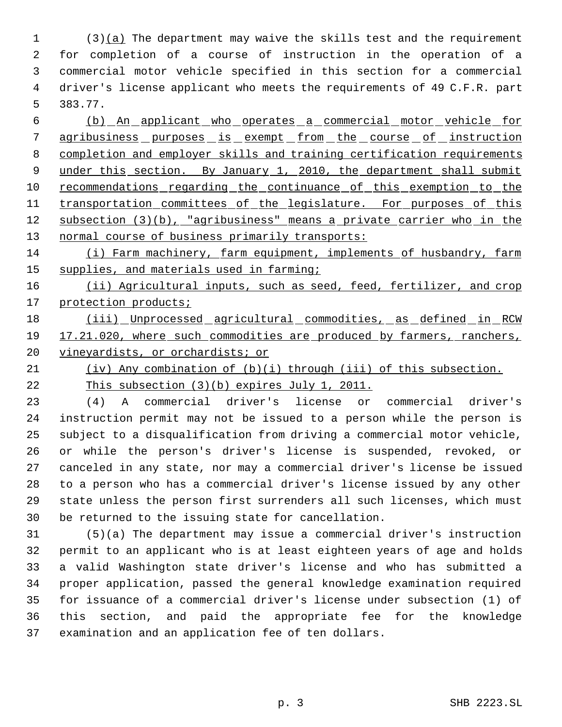(3)(a) The department may waive the skills test and the requirement for completion of a course of instruction in the operation of a commercial motor vehicle specified in this section for a commercial driver's license applicant who meets the requirements of 49 C.F.R. part 383.77.

 (b) An applicant who operates a commercial motor vehicle for 7 agribusiness purposes is exempt from the course of instruction completion and employer skills and training certification requirements 9 under this section. By January 1, 2010, the department shall submit 10 recommendations regarding the continuance of this exemption to the 11 transportation committees of the legislature. For purposes of this subsection (3)(b), "agribusiness" means a private carrier who in the 13 normal course of business primarily transports:

 (i) Farm machinery, farm equipment, implements of husbandry, farm 15 supplies, and materials used in farming;

16 (ii) Agricultural inputs, such as seed, feed, fertilizer, and crop 17 protection products;

18 (iii) Unprocessed agricultural commodities, as defined in RCW 17.21.020, where such commodities are produced by farmers, ranchers, 20 vineyardists, or orchardists; or

(iv) Any combination of (b)(i) through (iii) of this subsection.

This subsection (3)(b) expires July 1, 2011.

 (4) A commercial driver's license or commercial driver's instruction permit may not be issued to a person while the person is subject to a disqualification from driving a commercial motor vehicle, or while the person's driver's license is suspended, revoked, or canceled in any state, nor may a commercial driver's license be issued to a person who has a commercial driver's license issued by any other state unless the person first surrenders all such licenses, which must be returned to the issuing state for cancellation.

 (5)(a) The department may issue a commercial driver's instruction permit to an applicant who is at least eighteen years of age and holds a valid Washington state driver's license and who has submitted a proper application, passed the general knowledge examination required for issuance of a commercial driver's license under subsection (1) of this section, and paid the appropriate fee for the knowledge examination and an application fee of ten dollars.